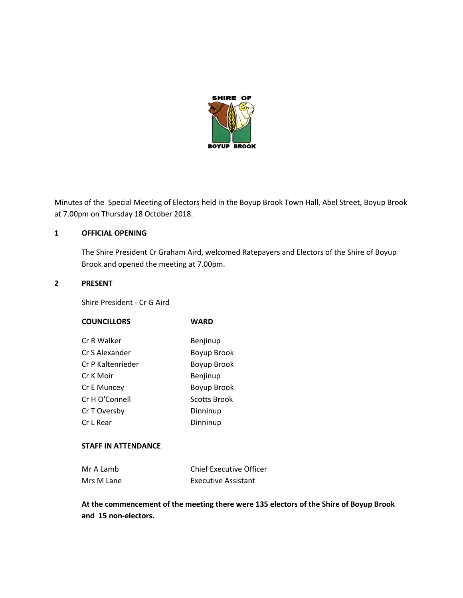

Minutes of the Special Meeting of Electors held in the Boyup Brook Town Hall, Abel Street, Boyup Brook at 7.00pm on Thursday 18 October 2018.

# **1 OFFICIAL OPENING**

The Shire President Cr Graham Aird, welcomed Ratepayers and Electors of the Shire of Boyup Brook and opened the meeting at 7.00pm.

# **2 PRESENT**

Shire President - Cr G Aird

| <b>COUNCILLORS</b> | <b>WARD</b>  |
|--------------------|--------------|
| Cr R Walker        | Benjinup     |
| Cr S Alexander     | Boyup Brook  |
| Cr P Kaltenrieder  | Boyup Brook  |
| Cr K Moir          | Benjinup     |
| Cr E Muncey        | Boyup Brook  |
| Cr H O'Connell     | Scotts Brook |
| Cr T Oversby       | Dinninup     |
| Cr L Rear          | Dinninup     |

# **STAFF IN ATTENDANCE**

| Mr A Lamb  | <b>Chief Executive Officer</b> |
|------------|--------------------------------|
| Mrs M Lane | Executive Assistant            |

**At the commencement of the meeting there were 135 electors of the Shire of Boyup Brook and 15 non-electors.**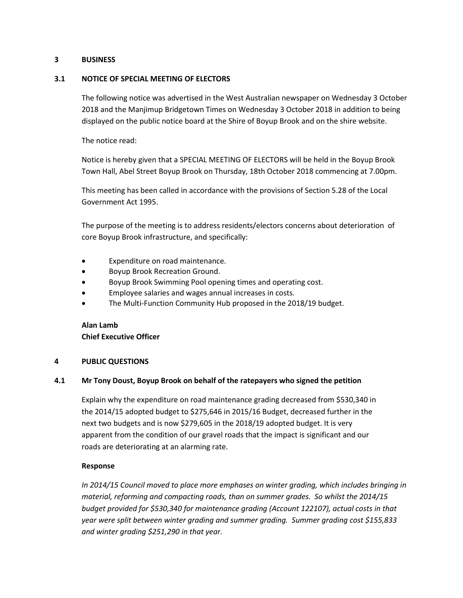# **3 BUSINESS**

# **3.1 NOTICE OF SPECIAL MEETING OF ELECTORS**

The following notice was advertised in the West Australian newspaper on Wednesday 3 October 2018 and the Manjimup Bridgetown Times on Wednesday 3 October 2018 in addition to being displayed on the public notice board at the Shire of Boyup Brook and on the shire website.

The notice read:

Notice is hereby given that a SPECIAL MEETING OF ELECTORS will be held in the Boyup Brook Town Hall, Abel Street Boyup Brook on Thursday, 18th October 2018 commencing at 7.00pm.

This meeting has been called in accordance with the provisions of Section 5.28 of the Local Government Act 1995.

The purpose of the meeting is to address residents/electors concerns about deterioration of core Boyup Brook infrastructure, and specifically:

- Expenditure on road maintenance.
- Boyup Brook Recreation Ground.
- Boyup Brook Swimming Pool opening times and operating cost.
- Employee salaries and wages annual increases in costs.
- The Multi-Function Community Hub proposed in the 2018/19 budget.

# **Alan Lamb**

# **Chief Executive Officer**

### **4 PUBLIC QUESTIONS**

### **4.1 Mr Tony Doust, Boyup Brook on behalf of the ratepayers who signed the petition**

Explain why the expenditure on road maintenance grading decreased from \$530,340 in the 2014/15 adopted budget to \$275,646 in 2015/16 Budget, decreased further in the next two budgets and is now \$279,605 in the 2018/19 adopted budget. It is very apparent from the condition of our gravel roads that the impact is significant and our roads are deteriorating at an alarming rate.

### **Response**

*In 2014/15 Council moved to place more emphases on winter grading, which includes bringing in material, reforming and compacting roads, than on summer grades. So whilst the 2014/15 budget provided for \$530,340 for maintenance grading (Account 122107), actual costs in that year were split between winter grading and summer grading. Summer grading cost \$155,833 and winter grading \$251,290 in that year.*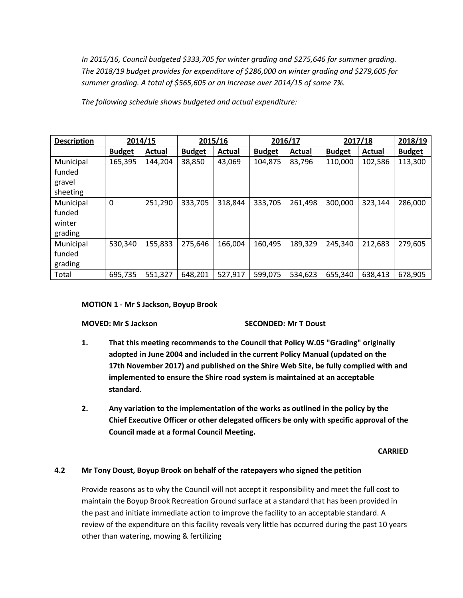*In 2015/16, Council budgeted \$333,705 for winter grading and \$275,646 for summer grading. The 2018/19 budget provides for expenditure of \$286,000 on winter grading and \$279,605 for summer grading. A total of \$565,605 or an increase over 2014/15 of some 7%.*

*The following schedule shows budgeted and actual expenditure:*

| <b>Description</b> |               | 2014/15 |               | 2015/16 |               | 2016/17 |               | 2017/18 | 2018/19       |
|--------------------|---------------|---------|---------------|---------|---------------|---------|---------------|---------|---------------|
|                    | <b>Budget</b> | Actual  | <b>Budget</b> | Actual  | <b>Budget</b> | Actual  | <b>Budget</b> | Actual  | <b>Budget</b> |
| Municipal          | 165,395       | 144,204 | 38,850        | 43,069  | 104,875       | 83,796  | 110,000       | 102,586 | 113,300       |
| funded             |               |         |               |         |               |         |               |         |               |
| gravel             |               |         |               |         |               |         |               |         |               |
| sheeting           |               |         |               |         |               |         |               |         |               |
| Municipal          | $\mathbf 0$   | 251,290 | 333,705       | 318,844 | 333,705       | 261,498 | 300,000       | 323,144 | 286,000       |
| funded             |               |         |               |         |               |         |               |         |               |
| winter             |               |         |               |         |               |         |               |         |               |
| grading            |               |         |               |         |               |         |               |         |               |
| Municipal          | 530,340       | 155,833 | 275,646       | 166,004 | 160,495       | 189,329 | 245,340       | 212,683 | 279,605       |
| funded             |               |         |               |         |               |         |               |         |               |
| grading            |               |         |               |         |               |         |               |         |               |
| Total              | 695,735       | 551,327 | 648,201       | 527,917 | 599,075       | 534,623 | 655,340       | 638,413 | 678,905       |

### **MOTION 1 - Mr S Jackson, Boyup Brook**

### **MOVED: Mr S Jackson SECONDED: Mr T** Doust

- **1. That this meeting recommends to the Council that Policy W.05 "Grading" originally adopted in June 2004 and included in the current Policy Manual (updated on the 17th November 2017) and published on the Shire Web Site, be fully complied with and implemented to ensure the Shire road system is maintained at an acceptable standard.**
- **2. Any variation to the implementation of the works as outlined in the policy by the Chief Executive Officer or other delegated officers be only with specific approval of the Council made at a formal Council Meeting.**

### **CARRIED**

# **4.2 Mr Tony Doust, Boyup Brook on behalf of the ratepayers who signed the petition**

Provide reasons as to why the Council will not accept it responsibility and meet the full cost to maintain the Boyup Brook Recreation Ground surface at a standard that has been provided in the past and initiate immediate action to improve the facility to an acceptable standard. A review of the expenditure on this facility reveals very little has occurred during the past 10 years other than watering, mowing & fertilizing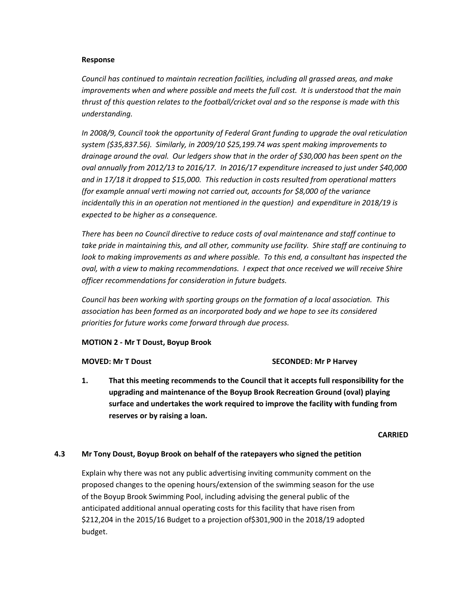### **Response**

*Council has continued to maintain recreation facilities, including all grassed areas, and make improvements when and where possible and meets the full cost. It is understood that the main thrust of this question relates to the football/cricket oval and so the response is made with this understanding.*

*In 2008/9, Council took the opportunity of Federal Grant funding to upgrade the oval reticulation system (\$35,837.56). Similarly, in 2009/10 \$25,199.74 was spent making improvements to drainage around the oval. Our ledgers show that in the order of \$30,000 has been spent on the oval annually from 2012/13 to 2016/17. In 2016/17 expenditure increased to just under \$40,000 and in 17/18 it dropped to \$15,000. This reduction in costs resulted from operational matters (for example annual verti mowing not carried out, accounts for \$8,000 of the variance*  incidentally this in an operation not mentioned in the question) and expenditure in 2018/19 is *expected to be higher as a consequence.*

*There has been no Council directive to reduce costs of oval maintenance and staff continue to take pride in maintaining this, and all other, community use facility. Shire staff are continuing to*  look to making improvements as and where possible. To this end, a consultant has inspected the *oval, with a view to making recommendations. I expect that once received we will receive Shire officer recommendations for consideration in future budgets.*

*Council has been working with sporting groups on the formation of a local association. This association has been formed as an incorporated body and we hope to see its considered priorities for future works come forward through due process.*

### **MOTION 2 - Mr T Doust, Boyup Brook**

#### **MOVED: Mr T Doust SECONDED: Mr P Harvey**

**1. That this meeting recommends to the Council that it accepts full responsibility for the upgrading and maintenance of the Boyup Brook Recreation Ground (oval) playing surface and undertakes the work required to improve the facility with funding from reserves or by raising a loan.**

**CARRIED**

### **4.3 Mr Tony Doust, Boyup Brook on behalf of the ratepayers who signed the petition**

Explain why there was not any public advertising inviting community comment on the proposed changes to the opening hours/extension of the swimming season for the use of the Boyup Brook Swimming Pool, including advising the general public of the anticipated additional annual operating costs for this facility that have risen from \$212,204 in the 2015/16 Budget to a projection of\$301,900 in the 2018/19 adopted budget.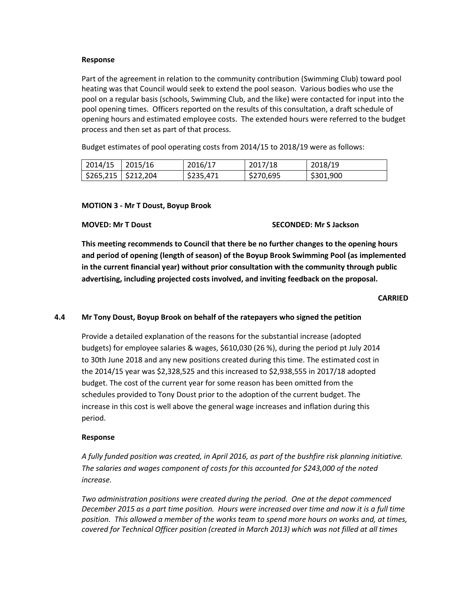### **Response**

Part of the agreement in relation to the community contribution (Swimming Club) toward pool heating was that Council would seek to extend the pool season. Various bodies who use the pool on a regular basis (schools, Swimming Club, and the like) were contacted for input into the pool opening times. Officers reported on the results of this consultation, a draft schedule of opening hours and estimated employee costs. The extended hours were referred to the budget process and then set as part of that process.

Budget estimates of pool operating costs from 2014/15 to 2018/19 were as follows:

| 2014/15 2015/16       | 2016/17   | 2017/18   | 2018/19   |
|-----------------------|-----------|-----------|-----------|
| $$265,215$ $$212,204$ | \$235,471 | \$270,695 | \$301,900 |

### **MOTION 3 - Mr T Doust, Boyup Brook**

#### **MOVED: Mr T Doust SECONDED: Mr S Jackson**

**This meeting recommends to Council that there be no further changes to the opening hours and period of opening (length of season) of the Boyup Brook Swimming Pool (as implemented in the current financial year) without prior consultation with the community through public advertising, including projected costs involved, and inviting feedback on the proposal.**

#### **CARRIED**

# **4.4 Mr Tony Doust, Boyup Brook on behalf of the ratepayers who signed the petition**

Provide a detailed explanation of the reasons for the substantial increase (adopted budgets) for employee salaries & wages, \$610,030 (26 %), during the period pt July 2014 to 30th June 2018 and any new positions created during this time. The estimated cost in the 2014/15 year was \$2,328,525 and this increased to \$2,938,555 in 2017/18 adopted budget. The cost of the current year for some reason has been omitted from the schedules provided to Tony Doust prior to the adoption of the current budget. The increase in this cost is well above the general wage increases and inflation during this period.

### **Response**

*A fully funded position was created, in April 2016, as part of the bushfire risk planning initiative. The salaries and wages component of costs for this accounted for \$243,000 of the noted increase.* 

*Two administration positions were created during the period. One at the depot commenced December 2015 as a part time position. Hours were increased over time and now it is a full time position. This allowed a member of the works team to spend more hours on works and, at times, covered for Technical Officer position (created in March 2013) which was not filled at all times*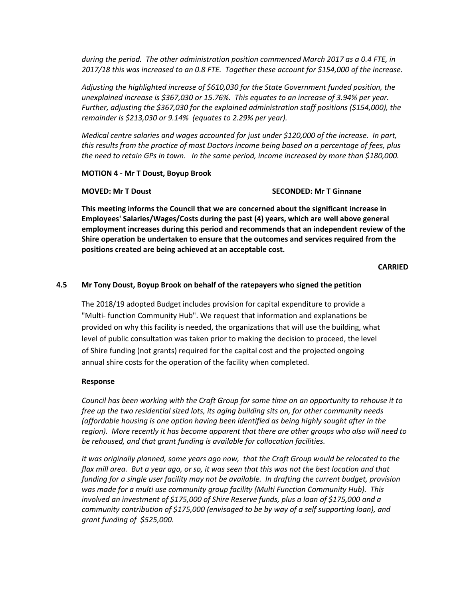*during the period. The other administration position commenced March 2017 as a 0.4 FTE, in 2017/18 this was increased to an 0.8 FTE. Together these account for \$154,000 of the increase.*

*Adjusting the highlighted increase of \$610,030 for the State Government funded position, the unexplained increase is \$367,030 or 15.76%. This equates to an increase of 3.94% per year. Further, adjusting the \$367,030 for the explained administration staff positions (\$154,000), the remainder is \$213,030 or 9.14% (equates to 2.29% per year).*

*Medical centre salaries and wages accounted for just under \$120,000 of the increase. In part, this results from the practice of most Doctors income being based on a percentage of fees, plus the need to retain GPs in town. In the same period, income increased by more than \$180,000.* 

#### **MOTION 4 - Mr T Doust, Boyup Brook**

#### **MOVED: Mr T Doust SECONDED: Mr T Ginnane**

**This meeting informs the Council that we are concerned about the significant increase in Employees' Salaries/Wages/Costs during the past (4) years, which are well above general employment increases during this period and recommends that an independent review of the Shire operation be undertaken to ensure that the outcomes and services required from the positions created are being achieved at an acceptable cost.**

**CARRIED**

#### **4.5 Mr Tony Doust, Boyup Brook on behalf of the ratepayers who signed the petition**

The 2018/19 adopted Budget includes provision for capital expenditure to provide a "Multi- function Community Hub". We request that information and explanations be provided on why this facility is needed, the organizations that will use the building, what level of public consultation was taken prior to making the decision to proceed, the level of Shire funding (not grants) required for the capital cost and the projected ongoing annual shire costs for the operation of the facility when completed.

#### **Response**

*Council has been working with the Craft Group for some time on an opportunity to rehouse it to free up the two residential sized lots, its aging building sits on, for other community needs (affordable housing is one option having been identified as being highly sought after in the region). More recently it has become apparent that there are other groups who also will need to be rehoused, and that grant funding is available for collocation facilities.* 

*It was originally planned, some years ago now, that the Craft Group would be relocated to the flax mill area. But a year ago, or so, it was seen that this was not the best location and that funding for a single user facility may not be available. In drafting the current budget, provision was made for a multi use community group facility (Multi Function Community Hub). This involved an investment of \$175,000 of Shire Reserve funds, plus a loan of \$175,000 and a community contribution of \$175,000 (envisaged to be by way of a self supporting loan), and grant funding of \$525,000.*